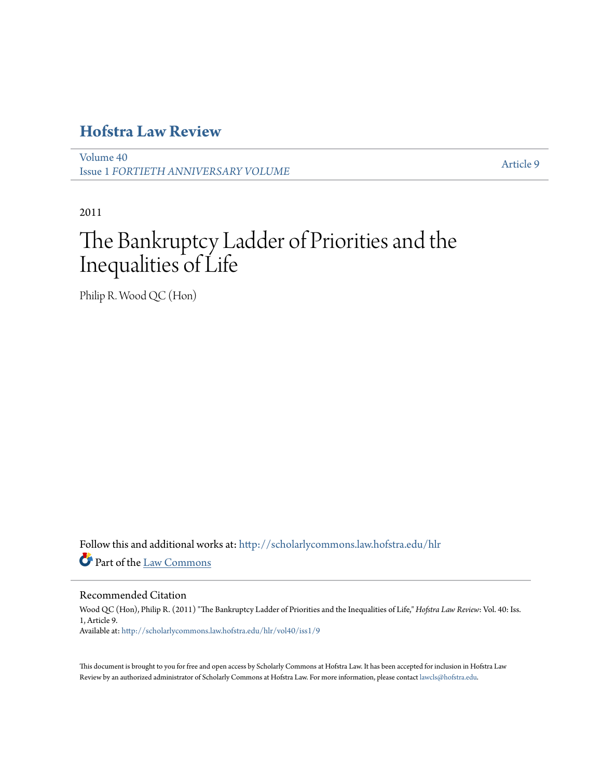## **[Hofstra Law Review](http://scholarlycommons.law.hofstra.edu/hlr?utm_source=scholarlycommons.law.hofstra.edu%2Fhlr%2Fvol40%2Fiss1%2F9&utm_medium=PDF&utm_campaign=PDFCoverPages)**

[Volume 40](http://scholarlycommons.law.hofstra.edu/hlr/vol40?utm_source=scholarlycommons.law.hofstra.edu%2Fhlr%2Fvol40%2Fiss1%2F9&utm_medium=PDF&utm_campaign=PDFCoverPages) Issue 1 *[FORTIETH ANNIVERSARY VOLUME](http://scholarlycommons.law.hofstra.edu/hlr/vol40/iss1?utm_source=scholarlycommons.law.hofstra.edu%2Fhlr%2Fvol40%2Fiss1%2F9&utm_medium=PDF&utm_campaign=PDFCoverPages)*

[Article 9](http://scholarlycommons.law.hofstra.edu/hlr/vol40/iss1/9?utm_source=scholarlycommons.law.hofstra.edu%2Fhlr%2Fvol40%2Fiss1%2F9&utm_medium=PDF&utm_campaign=PDFCoverPages)

2011

# The Bankruptcy Ladder of Priorities and the Inequalities of Life

Philip R. Wood QC (Hon)

Follow this and additional works at: [http://scholarlycommons.law.hofstra.edu/hlr](http://scholarlycommons.law.hofstra.edu/hlr?utm_source=scholarlycommons.law.hofstra.edu%2Fhlr%2Fvol40%2Fiss1%2F9&utm_medium=PDF&utm_campaign=PDFCoverPages) Part of the [Law Commons](http://network.bepress.com/hgg/discipline/578?utm_source=scholarlycommons.law.hofstra.edu%2Fhlr%2Fvol40%2Fiss1%2F9&utm_medium=PDF&utm_campaign=PDFCoverPages)

### Recommended Citation

Wood QC (Hon), Philip R. (2011) "The Bankruptcy Ladder of Priorities and the Inequalities of Life," *Hofstra Law Review*: Vol. 40: Iss. 1, Article 9. Available at: [http://scholarlycommons.law.hofstra.edu/hlr/vol40/iss1/9](http://scholarlycommons.law.hofstra.edu/hlr/vol40/iss1/9?utm_source=scholarlycommons.law.hofstra.edu%2Fhlr%2Fvol40%2Fiss1%2F9&utm_medium=PDF&utm_campaign=PDFCoverPages)

This document is brought to you for free and open access by Scholarly Commons at Hofstra Law. It has been accepted for inclusion in Hofstra Law Review by an authorized administrator of Scholarly Commons at Hofstra Law. For more information, please contact [lawcls@hofstra.edu](mailto:lawcls@hofstra.edu).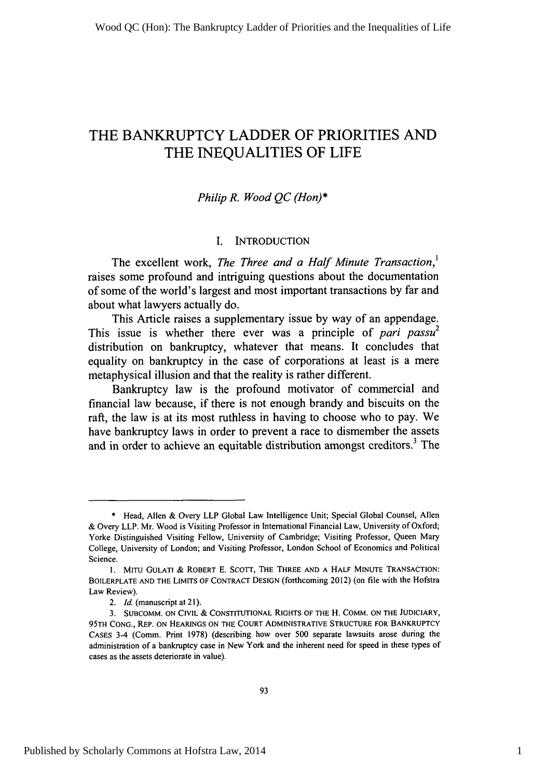### THE BANKRUPTCY LADDER OF PRIORITIES **AND** THE INEQUALITIES OF LIFE

### *Philip R. Wood QC (Hon)\**

### I. INTRODUCTION

The excellent work, *The Three and a Half Minute Transaction*,<sup>1</sup> raises some profound and intriguing questions about the documentation of some of the world's largest and most important transactions by far and about what lawyers actually do.

This Article raises a supplementary issue by way of an appendage. This issue is whether there ever was a principle of *pari passu*<sup>2</sup> distribution on bankruptcy, whatever that means. It concludes that equality on bankruptcy in the case of corporations at least is a mere metaphysical illusion and that the reality is rather different.

Bankruptcy law is the profound motivator of commercial and financial law because, if there is not enough brandy and biscuits on the raft, the law is at its most ruthless in having to choose who to pay. We have bankruptcy laws in order to prevent a race to dismember the assets and in order to achieve an equitable distribution amongst creditors.<sup>3</sup> The

<sup>\*</sup> Head, Allen & Overy LLP Global Law Intelligence Unit; Special Global Counsel, Allen & Overy LLP. Mr. Wood is Visiting Professor in International Financial Law, University of Oxford; Yorke Distinguished Visiting Fellow, University of Cambridge; Visiting Professor, Queen Mary College, University of London; and Visiting Professor, London School of Economics and Political Science.

**<sup>1.</sup>** MITU **GULATI** & ROBERT E. SCOTT, THE THREE AND A HALF MINUTE TRANSACTION: BOILERPLATE AND THE LIMITS OF CONTRACT DESIGN (forthcoming 2012) (on file with the Hofstra Law Review).

*<sup>2.</sup> Id.* (manuscript at 21).

<sup>3.</sup> **SUBCOMM.** ON CIVIL & CONSTITUTIONAL RIGHTS OF THE H. COMM. ON THE **JUDICIARY, 95TH** CONG., REP. ON **HEARINGS ON THE COURT** ADMINISTRATIVE **STRUCTURE** FOR BANKRUPTCY CASES 3-4 (Comm. Print 1978) (describing how over 500 separate lawsuits arose during the administration of a bankruptcy case in New York and the inherent need for speed in these types of cases as the assets deteriorate in value).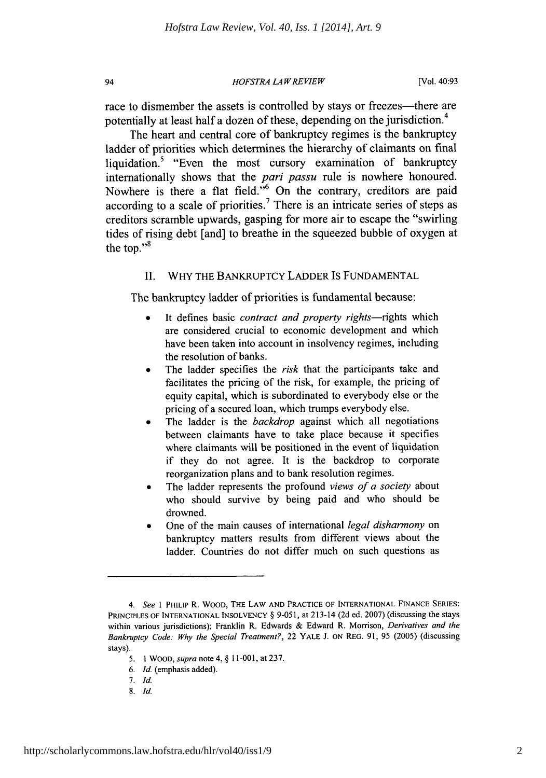*HOFSTRA LA W REVIEW*

race to dismember the assets is controlled by stays or freezes—there are potentially at least half a dozen of these, depending on the jurisdiction.<sup>4</sup>

The heart and central core of bankruptcy regimes is the bankruptcy ladder of priorities which determines the hierarchy of claimants on final liquidation.<sup>5</sup> "Even the most cursory examination of bankruptcy internationally shows that the *pari passu* rule is nowhere honoured. Nowhere is there a flat field."<sup>6</sup> On the contrary, creditors are paid according to a scale of priorities.<sup>7</sup> There is an intricate series of steps as creditors scramble upwards, gasping for more air to escape the "swirling tides of rising debt [and] to breathe in the squeezed bubble of oxygen at the top." $\frac{8}{3}$ 

### II. WHY THE BANKRUPTCY LADDER IS FUNDAMENTAL

The bankruptcy ladder of priorities is fundamental because:

- **"** It defines basic *contract and property rights-rights* which are considered crucial to economic development and which have been taken into account in insolvency regimes, including the resolution of banks.
- The ladder specifies the *risk* that the participants take and facilitates the pricing of the risk, for example, the pricing of equity capital, which is subordinated to everybody else or the pricing of a secured loan, which trumps everybody else.
- The ladder is the *backdrop* against which all negotiations between claimants have to take place because it specifies where claimants will be positioned in the event of liquidation if they do not agree. It is the backdrop to corporate reorganization plans and to bank resolution regimes.
- \* The ladder represents the profound *views of a society* about who should survive **by** being paid and who should be drowned.
- \* One of the main causes of international *legal disharmony* on bankruptcy matters results from different views about the ladder. Countries do not differ much on such questions as

7. *Id.*

94

*8. Id.*

*<sup>4.</sup> See* 1 PHILIP R. WOOD, THE LAW AND PRACTICE OF INTERNATIONAL FINANCE SERIES: PRINCIPLES OF INTERNATIONAL INSOLVENCY § 9-051, at 213-14 (2d ed. 2007) (discussing the stays within various jurisdictions); Franklin R. Edwards **&** Edward R. Morrison, *Derivatives and the Bankruptcy Code: Why the Special Treatment?,* 22 YALE J. ON REG. **91, 95** (2005) (discussing stays).

**<sup>5. 1</sup>** WOOD, *supra* note 4, § **11-001, at 237.**

*<sup>6.</sup> Id.* (emphasis added).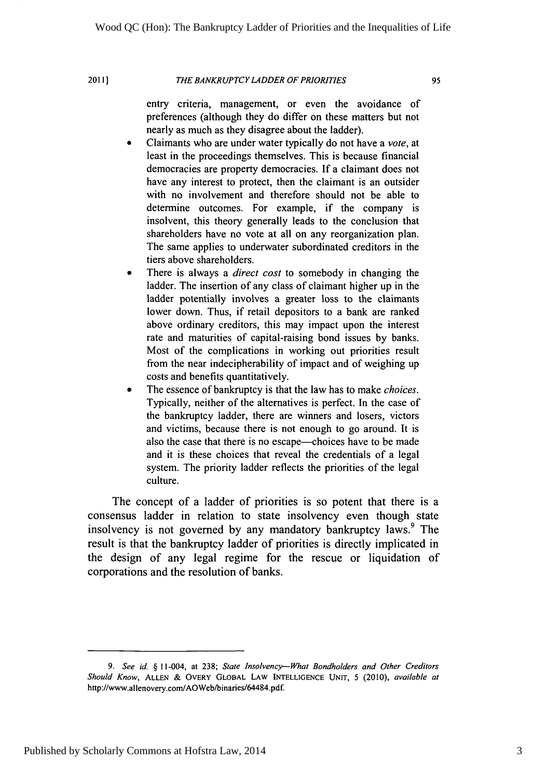2011]

### *THE BANKRUPTCY LADDER OF PRIORITIES*

95

entry criteria, management, or even the avoidance of preferences (although they do differ on these matters but not nearly as much as they disagree about the ladder).

- \* Claimants who are under water typically do not have a *vote,* at least in the proceedings themselves. This is because financial democracies are property democracies. If a claimant does not have any interest to protect, then the claimant is an outsider with no involvement and therefore should not be able to determine outcomes. For example, if the company is insolvent, this theory generally leads to the conclusion that shareholders have no vote at all on any reorganization plan. The same applies to underwater subordinated creditors in the tiers above shareholders.
- There is always a *direct cost* to somebody in changing the ladder. The insertion of any class of claimant higher up in the ladder potentially involves a greater loss to the claimants lower down. Thus, if retail depositors to a bank are ranked above ordinary creditors, this may impact upon the interest rate and maturities of capital-raising bond issues by banks. Most of the complications in working out priorities result from the near indecipherability of impact and of weighing up costs and benefits quantitatively.
- \* The essence of bankruptcy is that the law has to make *choices.* Typically, neither of the alternatives is perfect. In the case of the bankruptcy ladder, there are winners and losers, victors and victims, because there is not enough to go around. It is also the case that there is no escape—choices have to be made and it is these choices that reveal the credentials of a legal system. The priority ladder reflects the priorities of the legal culture.

The concept of a ladder of priorities is so potent that there is a consensus ladder in relation to state insolvency even though state insolvency is not governed by any mandatory bankruptcy laws.<sup>9</sup> The result is that the bankruptcy ladder of priorities is directly implicated in the design of any legal regime for the rescue or liquidation of corporations and the resolution of banks.

*<sup>9.</sup> See id.* § 11-004, at 238; *State Insolvency-What Bondholders and Other Creditors Should Know,* **ALLEN** & OVERY GLOBAL LAW **INTELLIGENCE UNIT,** 5 (2010), *available at* http://www.allenovery.com/AOWeb/binaries/64484.pdf.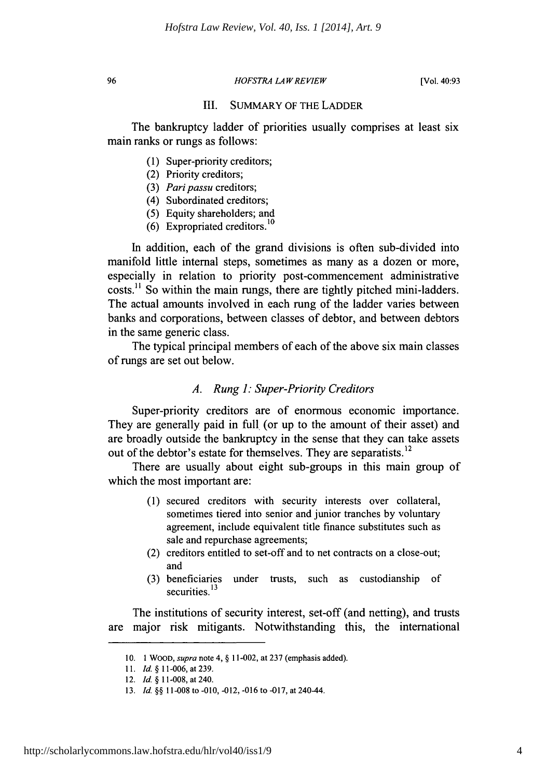96

### *HOFSTRA LAW REVIEW*

[Vol. 40:93

### III. SUMMARY OF THE LADDER

The bankruptcy ladder of priorities usually comprises at least six main ranks or rungs as follows:

- (1) Super-priority creditors;
- (2) Priority creditors;
- (3) *Paripassu* creditors;
- (4) Subordinated creditors;
- (5) Equity shareholders; and
- (6) Expropriated creditors.<sup>10</sup>

In addition, each of the grand divisions is often sub-divided into manifold little internal steps, sometimes as many as a dozen or more, especially in relation to priority post-commencement administrative costs.<sup>11</sup> So within the main rungs, there are tightly pitched mini-ladders. The actual amounts involved in each rung of the ladder varies between banks and corporations, between classes of debtor, and between debtors in the same generic class.

The typical principal members of each of the above six main classes of rungs are set out below.

### *A. Rung 1: Super-Priority Creditors*

Super-priority creditors are of enormous economic importance. They are generally paid in full (or up to the amount of their asset) and are broadly outside the bankruptcy in the sense that they can take assets out of the debtor's estate for themselves. They are separatists.<sup>12</sup>

There are usually about eight sub-groups in this main group of which the most important are:

- (1) secured creditors with security interests over collateral, sometimes tiered into senior and junior tranches by voluntary agreement, include equivalent title finance substitutes such as sale and repurchase agreements;
- (2) creditors entitled to set-off and to net contracts on a close-out; and
- under trusts, such as custodianship of securities.<sup>13</sup> (3) beneficiaries

The institutions of security interest, set-off (and netting), and trusts are major risk mitigants. Notwithstanding this, the international

<sup>10. 1</sup> WOOD, *supra* note 4, § 11-002, at 237 (emphasis added).

<sup>11.</sup> *Id.* § 11-006, at 239.

<sup>12.</sup> *Id.* § 11-008, at 240.

<sup>13.</sup> *Id.* §§ 11-008 to -010, -012, -016 to -017, at 240-44.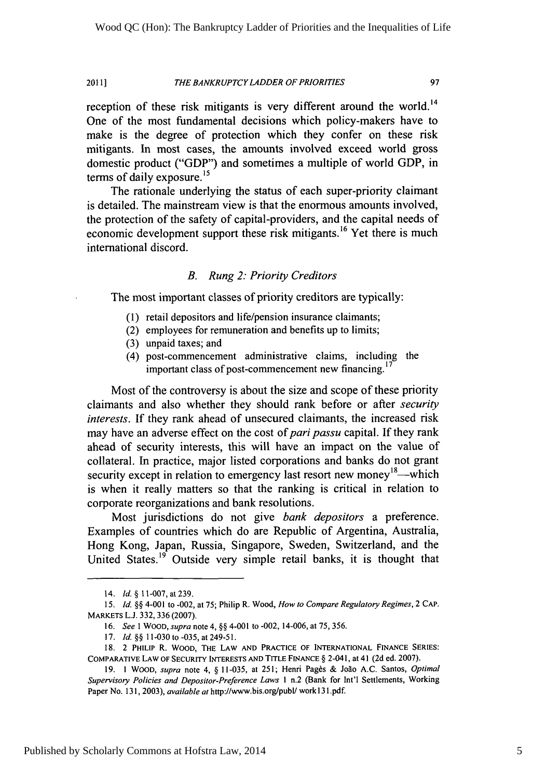#### *THE BANKRUPTCY LADDER OF PRIORITIES* 2011]

97

reception of these risk mitigants is very different around the world.<sup>14</sup> One of the most fundamental decisions which policy-makers have to make is the degree of protection which they confer on these risk mitigants. In most cases, the amounts involved exceed world gross domestic product ("GDP") and sometimes a multiple of world GDP, in terms of daily exposure.<sup>15</sup>

The rationale underlying the status of each super-priority claimant is detailed. The mainstream view is that the enormous amounts involved, the protection of the safety of capital-providers, and the capital needs of economic development support these risk mitigants.<sup>16</sup> Yet there is much international discord.

### *B. Rung 2: Priority Creditors*

The most important classes of priority creditors are typically:

- (1) retail depositors and life/pension insurance claimants;
- (2) employees for remuneration and benefits up to limits;
- (3) unpaid taxes; and
- (4) post-commencement administrative claims, including the important class of post-commencement new financing.<sup>17</sup>

Most of the controversy is about the size and scope of these priority claimants and also whether they should rank before or after *security interests.* If they rank ahead of unsecured claimants, the increased risk may have an adverse effect on the cost of *pari passu* capital. If they rank ahead of security interests, this will have an impact on the value of collateral. In practice, major listed corporations and banks do not grant security except in relation to emergency last resort new money<sup>18</sup>—which is when it really matters so that the ranking is critical in relation to corporate reorganizations and bank resolutions.

Most jurisdictions do not give *bank depositors* a preference. Examples of countries which do are Republic of Argentina, Australia, Hong Kong, Japan, Russia, Singapore, Sweden, Switzerland, and the United States.<sup>19</sup> Outside very simple retail banks, it is thought that

<sup>14.</sup> *Id. §* 11-007, at 239.

*<sup>15.</sup> Id. §§* 4-001 to -002, at 75; Philip R. Wood, *How to Compare Regulatory Regimes,* 2 CAP. MARKETS L.J. 332,336 (2007).

<sup>16.</sup> *See I* WOOD, *supra* note 4, §§ 4-001 to -002, 14-006, at 75,356.

<sup>17.</sup> *Id.* §§ 11-030 to -035, at 249-51.

<sup>18. 2</sup> PHILIP R. WOOD, THE LAW AND PRACTICE OF INTERNATIONAL FINANCE SERIES: COMPARATIVE LAW OF SECURITY INTERESTS AND TITLE FINANCE § 2-041, at 41 (2d ed. 2007).

<sup>19. 1</sup> WOOD, supra note 4, § 11-035, at 251; Henri Pagès & João A.C. Santos, *Optimal Supervisory Policies and Depositor-Preference Laws I* n.2 (Bank for Int'l Settlements, Working Paper No. 131, 2003), *available at* http://www.bis.org/pubU work 13 l.pdf.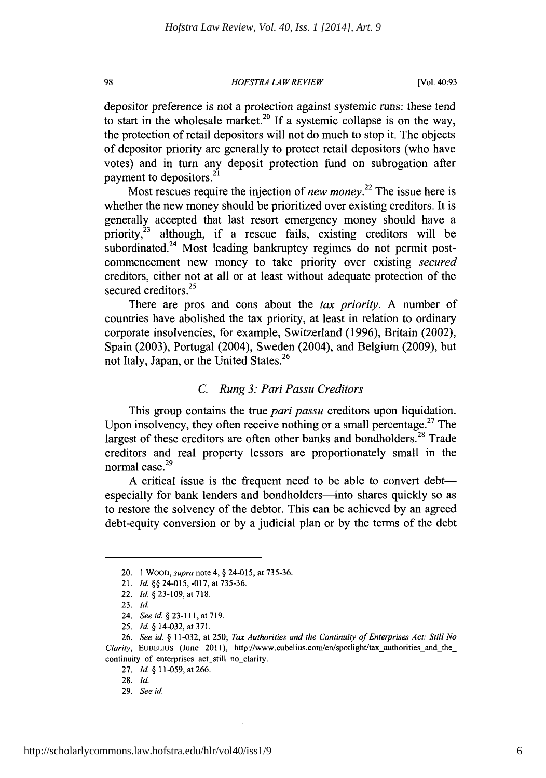### *HOFSTRA LA W REVIEW*

depositor preference is not a protection against systemic runs: these tend to start in the wholesale market.<sup>20</sup> If a systemic collapse is on the way, the protection of retail depositors will not do much to stop it. The objects of depositor priority are generally to protect retail depositors (who have votes) and in turn any deposit protection fund on subrogation after payment to depositors.<sup>21</sup>

Most rescues require the injection of *new money*.<sup>22</sup> The issue here is whether the new money should be prioritized over existing creditors. It is generally accepted that last resort emergency money should have a priority, $23$  although, if a rescue fails, existing creditors will be subordinated. $24$  Most leading bankruptcy regimes do not permit postcommencement new money to take priority over existing *secured* creditors, either not at all or at least without adequate protection of the secured creditors.<sup>25</sup>

There are pros and cons about the *tax priority.* A number of countries have abolished the tax priority, at least in relation to ordinary corporate insolvencies, for example, Switzerland (1996), Britain (2002), Spain (2003), Portugal (2004), Sweden (2004), and Belgium (2009), but **<sup>26</sup>** not Italy, Japan, or the United States.

### *C. Rung 3: Pari Passu Creditors*

This group contains the true *pari passu* creditors upon liquidation. Upon insolvency, they often receive nothing or a small percentage.<sup>27</sup> The largest of these creditors are often other banks and bondholders.<sup>28</sup> Trade creditors and real property lessors are proportionately small in the normal case.<sup>29</sup>

A critical issue is the frequent need to be able to convert debt especially for bank lenders and bondholders—into shares quickly so as to restore the solvency of the debtor. This can be achieved by an agreed debt-equity conversion or by a judicial plan or by the terms of the debt

98

6

<sup>20. 1</sup> WOOD, *supra* note 4, § 24-015, at 735-36.

<sup>21.</sup> *Id.* §§ 24-015, -017, at 735-36.

<sup>22.</sup> *Id.* § 23-109, at 718.

<sup>23.</sup> *Id.*

<sup>24.</sup> *Seeid.* §23-111,at719.

*<sup>25.</sup> Id §* 14-032, at 371.

<sup>26.</sup> *See id.* § 11-032, at 250; *Tax Authorities and the Continuity of Enterprises Act: Still No Clarity,* EUBEL1US (June 2011), http://www.eubelius.com/en/spotlight/tax-authorities-and the\_ continuity of enterprises act still no clarity.

<sup>27.</sup> *Id.* § 11-059, at 266.

<sup>28.</sup> *Id.*

<sup>29.</sup> *See id.*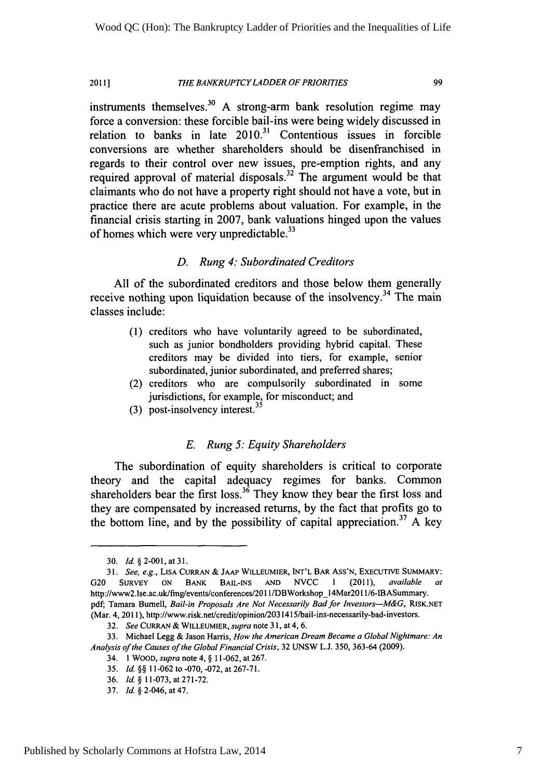#### *THE BANKRUPTCY LADDER OF PRIORITIES* 20111

99

instruments themselves.<sup>30</sup> A strong-arm bank resolution regime may force a conversion: these forcible bail-ins were being widely discussed in relation to banks in late  $2010$ .<sup>31</sup> Contentious issues in forcible conversions are whether shareholders should be disenfranchised in regards to their control over new issues, pre-emption rights, and any required approval of material disposals.<sup>32</sup> The argument would be that claimants who do not have a property right should not have a vote, but in practice there are acute problems about valuation. For example, in the financial crisis starting in 2007, bank valuations hinged upon the values of homes which were very unpredictable.<sup>33</sup>

### *D. Rung 4: Subordinated Creditors*

All of the subordinated creditors and those below them generally receive nothing upon liquidation because of the insolvency.<sup>34</sup> The main classes include:

- (1) creditors who have voluntarily agreed to be subordinated, such as junior bondholders providing hybrid capital. These creditors may be divided into tiers, for example, senior subordinated, junior subordinated, and preferred shares;
- (2) creditors who are compulsorily subordinated in some jurisdictions, for example, for misconduct; and
- (3) post-insolvency interest.<sup>35</sup>

### *E. Rung 5: Equity Shareholders*

The subordination of equity shareholders is critical to corporate theory and the capital adequacy regimes for banks. Common shareholders bear the first loss.<sup>36</sup> They know they bear the first loss and they are compensated by increased returns, by the fact that profits go to the bottom line, and by the possibility of capital appreciation.<sup>37</sup> A key

<sup>30.</sup> *Id.* §2-001,at3l.

<sup>31.</sup> *See, e.g.,* **LISA** CURRAN & **JAAP** WILLEUMIER, **INT'L BAR** ASS'N, **EXECUTIVE** SUMMARY: **G20** SURVEY ON BANK **BAIL-INS AND** NVCC 1 (2011), *available at* http://www2.1se.ac.uk/fmg/events/conferences/2011/DBWorkshop\_14Mar20 l l/6-IBASummary. pdf, Tamara Burnell, *Bail-in Proposals Are Not Necessarily Bad for Investors-M&G,* RISK.NET (Mar. 4, 2011), http://www.risk.net/credit/opinion/2031415/bail-ins-necessarily-bad-investors.

<sup>32.</sup> *See* CURRAN & WILLEUMIER, *supra* note 31, at 4, 6.

<sup>33.</sup> Michael Legg & Jason Harris, *How the American Dream Became a* Global Nightmare: *An Analysis of the Causes of the Global Financial Crisis,* 32 UNSW L.J. 350, 363-64 (2009).

<sup>34. 1</sup> WOOD, *supra* note 4, § 11-062, at 267.

<sup>35.</sup> *Id.* §§ 11-062 to -070, -072, at 267-71.

<sup>36.</sup> Id. *§* 11-073,at271-72.

<sup>37.</sup> *Id.* §2-046, at47.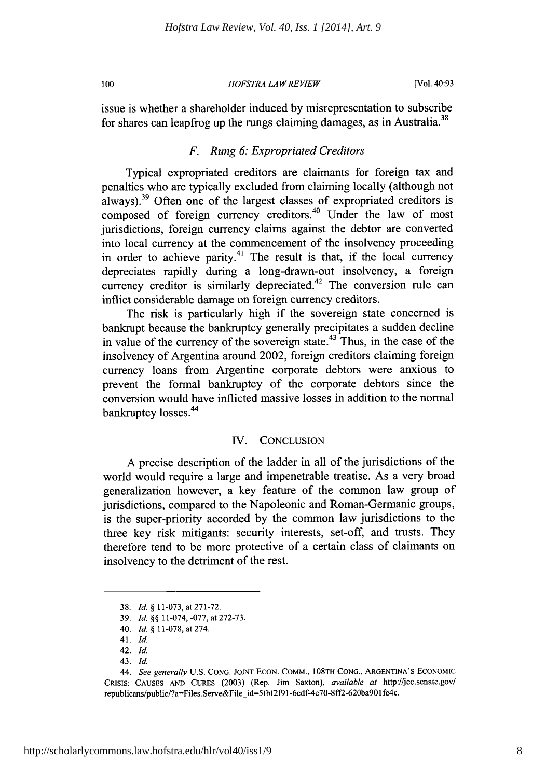100

*HOFSTRA LAW REVIEW*

issue is whether a shareholder induced by misrepresentation to subscribe for shares can leapfrog up the rungs claiming damages, as in Australia.<sup>38</sup>

### *F. Rung 6: Expropriated Creditors*

Typical expropriated creditors are claimants for foreign tax and penalties who are typically excluded from claiming locally (although not always).39 Often one of the largest classes of expropriated creditors is composed of foreign currency creditors.<sup>40</sup> Under the law of most jurisdictions, foreign currency claims against the debtor are converted into local currency at the commencement of the insolvency proceeding in order to achieve parity.<sup>41</sup> The result is that, if the local currency depreciates rapidly during a long-drawn-out insolvency, a foreign currency creditor is similarly depreciated.<sup>42</sup> The conversion rule can inflict considerable damage on foreign currency creditors.

The risk is particularly high if the sovereign state concerned is bankrupt because the bankruptcy generally precipitates a sudden decline in value of the currency of the sovereign state.<sup>43</sup> Thus, in the case of the insolvency of Argentina around 2002, foreign creditors claiming foreign currency loans from Argentine corporate debtors were anxious to prevent the formal bankruptcy of the corporate debtors since the conversion would have inflicted massive losses in addition to the normal bankruptcy losses.<sup>44</sup>

### IV. CONCLUSION

A precise description of the ladder in all of the jurisdictions of the world would require a large and impenetrable treatise. As a very broad generalization however, a key feature of the common law group of jurisdictions, compared to the Napoleonic and Roman-Germanic groups, is the super-priority accorded by the common law jurisdictions to the three key risk mitigants: security interests, set-off, and trusts. They therefore tend to be more protective of a certain class of claimants on insolvency to the detriment of the rest.

<sup>38.</sup> *Id.* § 11-073, at271-72.

<sup>39.</sup> *Id.* §§ 11-074, -077, at 272-73.

<sup>40.</sup> *Id.* § 11-078, at 274.

<sup>41.</sup> Id.

<sup>42.</sup> Id.

<sup>43.</sup> Id.

<sup>44.</sup> *See generally* **U.S. CONG. JOINT ECON.** COMM., **108TH CONG.,** ARGENTINA'S ECONOMIC **CRISIS: CAUSES AND CURES** (2003) (Rep. Jim Saxton), *available at* http://jec.senate.gov/ republicans/public/?a=Files.Serve&File id=5fbf2f91-6cdf-4e70-8ff2-620ba9Olfc4c.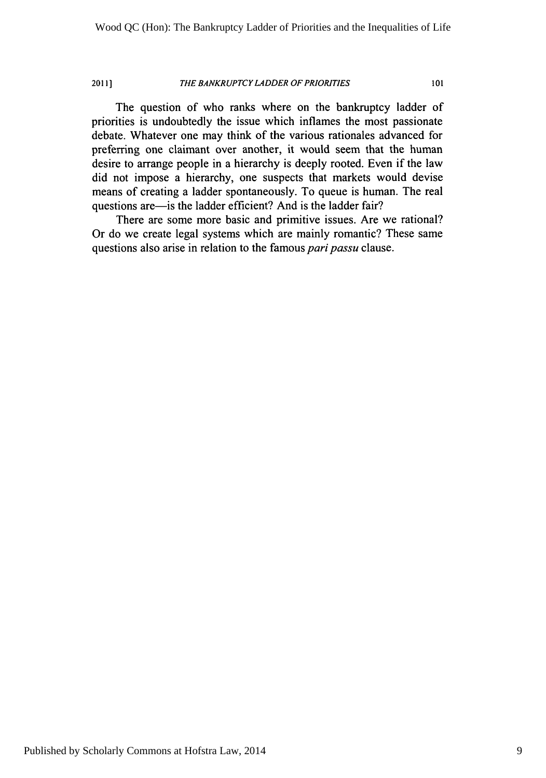### 2011] *THE BANKRUPTCY LADDER OF PRIORITIES* <sup>101</sup>

The question of who ranks where on the bankruptcy ladder of priorities is undoubtedly the issue which inflames the most passionate debate. Whatever one may think of the various rationales advanced for preferring one claimant over another, it would seem that the human desire to arrange people in a hierarchy is deeply rooted. Even if the law did not impose a hierarchy, one suspects that markets would devise means of creating a ladder spontaneously. To queue is human. The real questions are—is the ladder efficient? And is the ladder fair?

There are some more basic and primitive issues. Are we rational? Or do we create legal systems which are mainly romantic? These same questions also arise in relation to the famous *pari passu* clause.

Published by Scholarly Commons at Hofstra Law, 2014